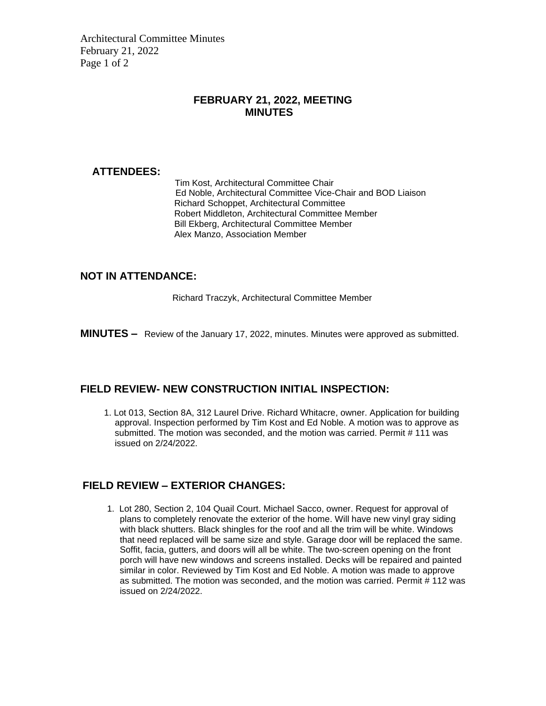Architectural Committee Minutes February 21, 2022 Page 1 of 2

## **FEBRUARY 21, 2022, MEETING MINUTES**

#### **ATTENDEES:**

Tim Kost, Architectural Committee Chair Ed Noble, Architectural Committee Vice-Chair and BOD Liaison Richard Schoppet, Architectural Committee Robert Middleton, Architectural Committee Member Bill Ekberg, Architectural Committee Member Alex Manzo, Association Member

#### **NOT IN ATTENDANCE:**

Richard Traczyk, Architectural Committee Member

**MINUTES –** Review of the January 17, 2022, minutes. Minutes were approved as submitted.

## **FIELD REVIEW- NEW CONSTRUCTION INITIAL INSPECTION:**

1. Lot 013, Section 8A, 312 Laurel Drive. Richard Whitacre, owner. Application for building approval. Inspection performed by Tim Kost and Ed Noble. A motion was to approve as submitted. The motion was seconded, and the motion was carried. Permit # 111 was issued on 2/24/2022.

## **FIELD REVIEW – EXTERIOR CHANGES:**

1. Lot 280, Section 2, 104 Quail Court. Michael Sacco, owner. Request for approval of plans to completely renovate the exterior of the home. Will have new vinyl gray siding with black shutters. Black shingles for the roof and all the trim will be white. Windows that need replaced will be same size and style. Garage door will be replaced the same. Soffit, facia, gutters, and doors will all be white. The two-screen opening on the front porch will have new windows and screens installed. Decks will be repaired and painted similar in color. Reviewed by Tim Kost and Ed Noble. A motion was made to approve as submitted. The motion was seconded, and the motion was carried. Permit # 112 was issued on 2/24/2022.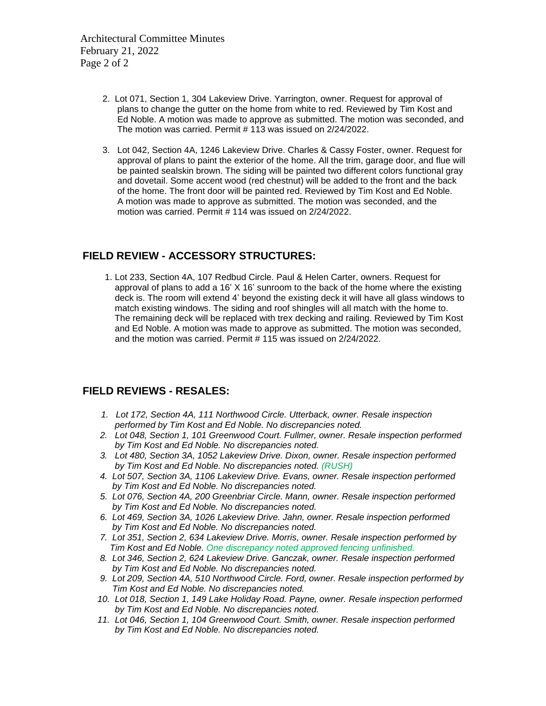- 2. Lot 071, Section 1, 304 Lakeview Drive. Yarrington, owner. Request for approval of plans to change the gutter on the home from white to red. Reviewed by Tim Kost and Ed Noble. A motion was made to approve as submitted. The motion was seconded, and The motion was carried. Permit # 113 was issued on 2/24/2022.
- 3. Lot 042, Section 4A, 1246 Lakeview Drive. Charles & Cassy Foster, owner. Request for approval of plans to paint the exterior of the home. All the trim, garage door, and flue will be painted sealskin brown. The siding will be painted two different colors functional gray and dovetail. Some accent wood (red chestnut) will be added to the front and the back of the home. The front door will be painted red. Reviewed by Tim Kost and Ed Noble. A motion was made to approve as submitted. The motion was seconded, and the motion was carried. Permit # 114 was issued on 2/24/2022.

## **FIELD REVIEW - ACCESSORY STRUCTURES:**

 1. Lot 233, Section 4A, 107 Redbud Circle. Paul & Helen Carter, owners. Request for approval of plans to add a 16' X 16' sunroom to the back of the home where the existing deck is. The room will extend 4' beyond the existing deck it will have all glass windows to match existing windows. The siding and roof shingles will all match with the home to. The remaining deck will be replaced with trex decking and railing. Reviewed by Tim Kost and Ed Noble. A motion was made to approve as submitted. The motion was seconded, and the motion was carried. Permit # 115 was issued on 2/24/2022.

#### **FIELD REVIEWS - RESALES:**

- *1. Lot 172, Section 4A, 111 Northwood Circle. Utterback, owner. Resale inspection performed by Tim Kost and Ed Noble. No discrepancies noted.*
- *2. Lot 048, Section 1, 101 Greenwood Court. Fullmer, owner. Resale inspection performed by Tim Kost and Ed Noble. No discrepancies noted.*
- *3. Lot 480, Section 3A, 1052 Lakeview Drive. Dixon, owner. Resale inspection performed by Tim Kost and Ed Noble. No discrepancies noted. (RUSH)*
- *4. Lot 507, Section 3A, 1106 Lakeview Drive. Evans, owner. Resale inspection performed by Tim Kost and Ed Noble. No discrepancies noted.*
- *5. Lot 076, Section 4A, 200 Greenbriar Circle. Mann, owner. Resale inspection performed by Tim Kost and Ed Noble. No discrepancies noted.*
- *6. Lot 469, Section 3A, 1026 Lakeview Drive. Jahn, owner. Resale inspection performed by Tim Kost and Ed Noble. No discrepancies noted.*
- *7. Lot 351, Section 2, 634 Lakeview Drive. Morris, owner. Resale inspection performed by Tim Kost and Ed Noble. One discrepancy noted approved fencing unfinished.*
- *8. Lot 346, Section 2, 624 Lakeview Drive. Ganczak, owner. Resale inspection performed by Tim Kost and Ed Noble. No discrepancies noted.*
- *9. Lot 209, Section 4A, 510 Northwood Circle. Ford, owner. Resale inspection performed by Tim Kost and Ed Noble. No discrepancies noted.*
- *10. Lot 018, Section 1, 149 Lake Holiday Road. Payne, owner. Resale inspection performed by Tim Kost and Ed Noble. No discrepancies noted.*
- *11. Lot 046, Section 1, 104 Greenwood Court. Smith, owner. Resale inspection performed by Tim Kost and Ed Noble. No discrepancies noted.*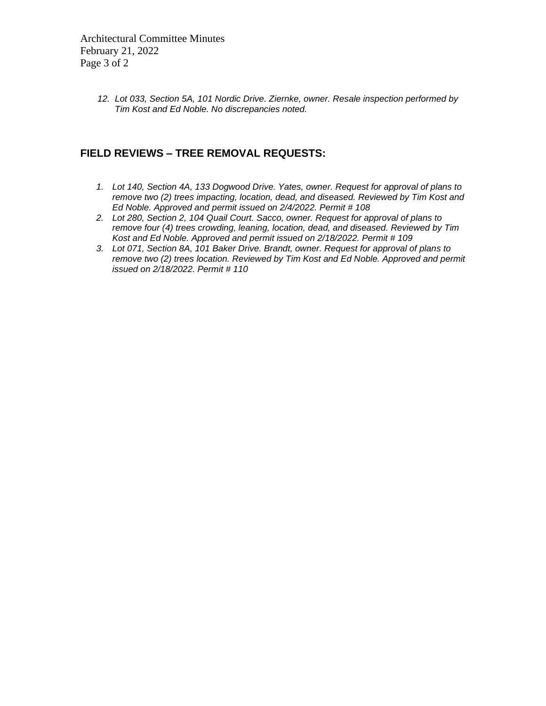Architectural Committee Minutes February 21, 2022 Page 3 of 2

> *12. Lot 033, Section 5A, 101 Nordic Drive. Ziernke, owner. Resale inspection performed by Tim Kost and Ed Noble. No discrepancies noted.*

## **FIELD REVIEWS – TREE REMOVAL REQUESTS:**

- *1. Lot 140, Section 4A, 133 Dogwood Drive. Yates, owner. Request for approval of plans to remove two (2) trees impacting, location, dead, and diseased. Reviewed by Tim Kost and Ed Noble. Approved and permit issued on 2/4/2022. Permit # 108*
- *2. Lot 280, Section 2, 104 Quail Court. Sacco, owner. Request for approval of plans to remove four (4) trees crowding, leaning, location, dead, and diseased. Reviewed by Tim Kost and Ed Noble. Approved and permit issued on 2/18/2022. Permit # 109*
- *3. Lot 071, Section 8A, 101 Baker Drive. Brandt, owner. Request for approval of plans to remove two (2) trees location. Reviewed by Tim Kost and Ed Noble. Approved and permit issued on 2/18/2022. Permit # 110*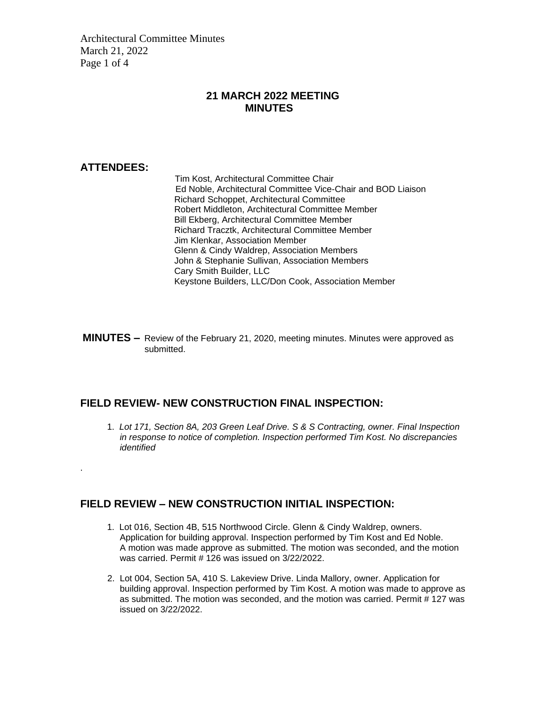Architectural Committee Minutes March 21, 2022 Page 1 of 4

#### **21 MARCH 2022 MEETING MINUTES**

#### **ATTENDEES:**

.

Tim Kost, Architectural Committee Chair Ed Noble, Architectural Committee Vice-Chair and BOD Liaison Richard Schoppet, Architectural Committee Robert Middleton, Architectural Committee Member Bill Ekberg, Architectural Committee Member Richard Tracztk, Architectural Committee Member Jim Klenkar, Association Member Glenn & Cindy Waldrep, Association Members John & Stephanie Sullivan, Association Members Cary Smith Builder, LLC Keystone Builders, LLC/Don Cook, Association Member

**MINUTES –** Review of the February 21, 2020, meeting minutes. Minutes were approved as submitted.

#### **FIELD REVIEW- NEW CONSTRUCTION FINAL INSPECTION:**

1. *Lot 171, Section 8A, 203 Green Leaf Drive. S & S Contracting, owner. Final Inspection in response to notice of completion. Inspection performed Tim Kost. No discrepancies identified*

#### **FIELD REVIEW – NEW CONSTRUCTION INITIAL INSPECTION:**

- 1. Lot 016, Section 4B, 515 Northwood Circle. Glenn & Cindy Waldrep, owners. Application for building approval. Inspection performed by Tim Kost and Ed Noble. A motion was made approve as submitted. The motion was seconded, and the motion was carried. Permit # 126 was issued on 3/22/2022.
- 2. Lot 004, Section 5A, 410 S. Lakeview Drive. Linda Mallory, owner. Application for building approval. Inspection performed by Tim Kost. A motion was made to approve as as submitted. The motion was seconded, and the motion was carried. Permit # 127 was issued on 3/22/2022.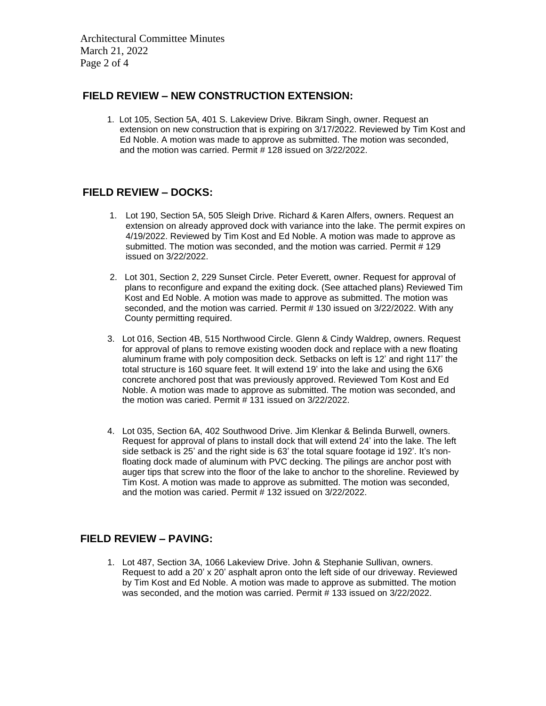Architectural Committee Minutes March 21, 2022 Page 2 of 4

## **FIELD REVIEW – NEW CONSTRUCTION EXTENSION:**

1. Lot 105, Section 5A, 401 S. Lakeview Drive. Bikram Singh, owner. Request an extension on new construction that is expiring on 3/17/2022. Reviewed by Tim Kost and Ed Noble. A motion was made to approve as submitted. The motion was seconded, and the motion was carried. Permit # 128 issued on 3/22/2022.

## **FIELD REVIEW – DOCKS:**

- 1. Lot 190, Section 5A, 505 Sleigh Drive. Richard & Karen Alfers, owners. Request an extension on already approved dock with variance into the lake. The permit expires on 4/19/2022. Reviewed by Tim Kost and Ed Noble. A motion was made to approve as submitted. The motion was seconded, and the motion was carried. Permit # 129 issued on 3/22/2022.
- 2. Lot 301, Section 2, 229 Sunset Circle. Peter Everett, owner. Request for approval of plans to reconfigure and expand the exiting dock. (See attached plans) Reviewed Tim Kost and Ed Noble. A motion was made to approve as submitted. The motion was seconded, and the motion was carried. Permit # 130 issued on 3/22/2022. With any County permitting required.
- 3. Lot 016, Section 4B, 515 Northwood Circle. Glenn & Cindy Waldrep, owners. Request for approval of plans to remove existing wooden dock and replace with a new floating aluminum frame with poly composition deck. Setbacks on left is 12' and right 117' the total structure is 160 square feet. It will extend 19' into the lake and using the 6X6 concrete anchored post that was previously approved. Reviewed Tom Kost and Ed Noble. A motion was made to approve as submitted. The motion was seconded, and the motion was caried. Permit # 131 issued on 3/22/2022.
- 4. Lot 035, Section 6A, 402 Southwood Drive. Jim Klenkar & Belinda Burwell, owners. Request for approval of plans to install dock that will extend 24' into the lake. The left side setback is 25' and the right side is 63' the total square footage id 192'. It's non floating dock made of aluminum with PVC decking. The pilings are anchor post with auger tips that screw into the floor of the lake to anchor to the shoreline. Reviewed by Tim Kost. A motion was made to approve as submitted. The motion was seconded, and the motion was caried. Permit # 132 issued on 3/22/2022.

## **FIELD REVIEW – PAVING:**

 1. Lot 487, Section 3A, 1066 Lakeview Drive. John & Stephanie Sullivan, owners. Request to add a 20' x 20' asphalt apron onto the left side of our driveway. Reviewed by Tim Kost and Ed Noble. A motion was made to approve as submitted. The motion was seconded, and the motion was carried. Permit # 133 issued on 3/22/2022.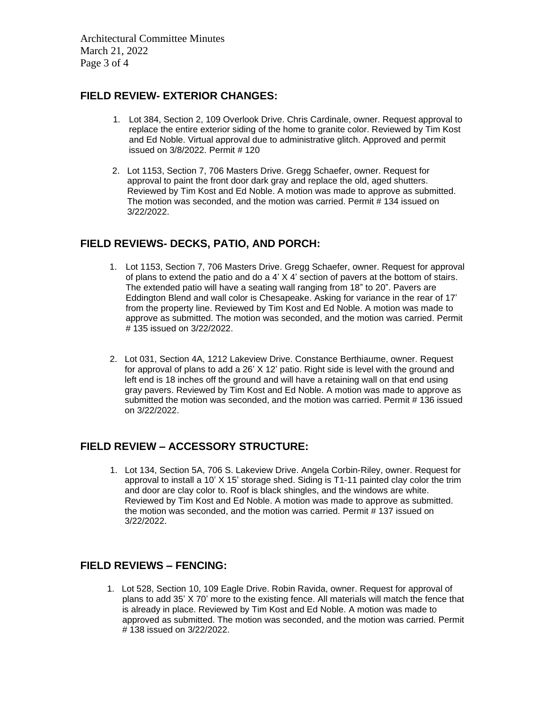Architectural Committee Minutes March 21, 2022 Page 3 of 4

## **FIELD REVIEW- EXTERIOR CHANGES:**

- 1. Lot 384, Section 2, 109 Overlook Drive. Chris Cardinale, owner. Request approval to replace the entire exterior siding of the home to granite color. Reviewed by Tim Kost and Ed Noble. Virtual approval due to administrative glitch. Approved and permit issued on 3/8/2022. Permit # 120
- 2. Lot 1153, Section 7, 706 Masters Drive. Gregg Schaefer, owner. Request for approval to paint the front door dark gray and replace the old, aged shutters. Reviewed by Tim Kost and Ed Noble. A motion was made to approve as submitted. The motion was seconded, and the motion was carried. Permit # 134 issued on 3/22/2022.

## **FIELD REVIEWS- DECKS, PATIO, AND PORCH:**

- 1. Lot 1153, Section 7, 706 Masters Drive. Gregg Schaefer, owner. Request for approval of plans to extend the patio and do a 4' X 4' section of pavers at the bottom of stairs. The extended patio will have a seating wall ranging from 18" to 20". Pavers are Eddington Blend and wall color is Chesapeake. Asking for variance in the rear of 17' from the property line. Reviewed by Tim Kost and Ed Noble. A motion was made to approve as submitted. The motion was seconded, and the motion was carried. Permit # 135 issued on 3/22/2022.
- 2. Lot 031, Section 4A, 1212 Lakeview Drive. Constance Berthiaume, owner. Request for approval of plans to add a 26' X 12' patio. Right side is level with the ground and left end is 18 inches off the ground and will have a retaining wall on that end using gray pavers. Reviewed by Tim Kost and Ed Noble. A motion was made to approve as submitted the motion was seconded, and the motion was carried. Permit # 136 issued on 3/22/2022.

## **FIELD REVIEW – ACCESSORY STRUCTURE:**

1. Lot 134, Section 5A, 706 S. Lakeview Drive. Angela Corbin-Riley, owner. Request for approval to install a 10' X 15' storage shed. Siding is T1-11 painted clay color the trim and door are clay color to. Roof is black shingles, and the windows are white. Reviewed by Tim Kost and Ed Noble. A motion was made to approve as submitted. the motion was seconded, and the motion was carried. Permit # 137 issued on 3/22/2022.

#### **FIELD REVIEWS – FENCING:**

1. Lot 528, Section 10, 109 Eagle Drive. Robin Ravida, owner. Request for approval of plans to add 35' X 70' more to the existing fence. All materials will match the fence that is already in place. Reviewed by Tim Kost and Ed Noble. A motion was made to approved as submitted. The motion was seconded, and the motion was carried. Permit # 138 issued on 3/22/2022.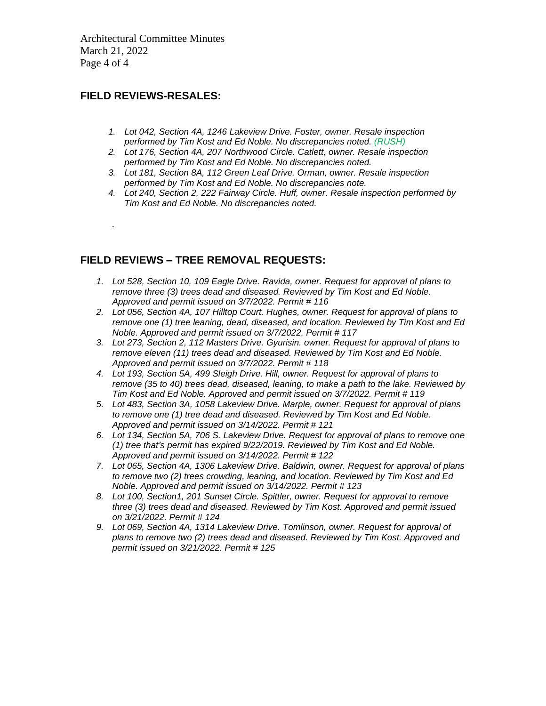Architectural Committee Minutes March 21, 2022 Page 4 of 4

## **FIELD REVIEWS-RESALES:**

*.*

- *1. Lot 042, Section 4A, 1246 Lakeview Drive. Foster, owner. Resale inspection performed by Tim Kost and Ed Noble. No discrepancies noted. (RUSH)*
- *2. Lot 176, Section 4A, 207 Northwood Circle. Catlett, owner. Resale inspection performed by Tim Kost and Ed Noble. No discrepancies noted.*
- *3. Lot 181, Section 8A, 112 Green Leaf Drive. Orman, owner. Resale inspection performed by Tim Kost and Ed Noble. No discrepancies note.*
- *4. Lot 240, Section 2, 222 Fairway Circle. Huff, owner. Resale inspection performed by Tim Kost and Ed Noble. No discrepancies noted.*

## **FIELD REVIEWS – TREE REMOVAL REQUESTS:**

- *1. Lot 528, Section 10, 109 Eagle Drive. Ravida, owner. Request for approval of plans to remove three (3) trees dead and diseased. Reviewed by Tim Kost and Ed Noble. Approved and permit issued on 3/7/2022. Permit # 116*
- *2. Lot 056, Section 4A, 107 Hilltop Court. Hughes, owner. Request for approval of plans to remove one (1) tree leaning, dead, diseased, and location. Reviewed by Tim Kost and Ed Noble. Approved and permit issued on 3/7/2022. Permit # 117*
- *3. Lot 273, Section 2, 112 Masters Drive. Gyurisin. owner. Request for approval of plans to remove eleven (11) trees dead and diseased. Reviewed by Tim Kost and Ed Noble. Approved and permit issued on 3/7/2022. Permit # 118*
- *4. Lot 193, Section 5A, 499 Sleigh Drive. Hill, owner. Request for approval of plans to remove (35 to 40) trees dead, diseased, leaning, to make a path to the lake. Reviewed by Tim Kost and Ed Noble. Approved and permit issued on 3/7/2022. Permit # 119*
- *5. Lot 483, Section 3A, 1058 Lakeview Drive. Marple, owner. Request for approval of plans to remove one (1) tree dead and diseased. Reviewed by Tim Kost and Ed Noble. Approved and permit issued on 3/14/2022. Permit # 121*
- *6. Lot 134, Section 5A, 706 S. Lakeview Drive. Request for approval of plans to remove one (1) tree that's permit has expired 9/22/2019. Reviewed by Tim Kost and Ed Noble. Approved and permit issued on 3/14/2022. Permit # 122*
- *7. Lot 065, Section 4A, 1306 Lakeview Drive. Baldwin, owner. Request for approval of plans to remove two (2) trees crowding, leaning, and location. Reviewed by Tim Kost and Ed Noble. Approved and permit issued on 3/14/2022. Permit # 123*
- *8. Lot 100, Section1, 201 Sunset Circle. Spittler, owner. Request for approval to remove three (3) trees dead and diseased. Reviewed by Tim Kost. Approved and permit issued on 3/21/2022. Permit # 124*
- *9. Lot 069, Section 4A, 1314 Lakeview Drive. Tomlinson, owner. Request for approval of plans to remove two (2) trees dead and diseased. Reviewed by Tim Kost. Approved and permit issued on 3/21/2022. Permit # 125*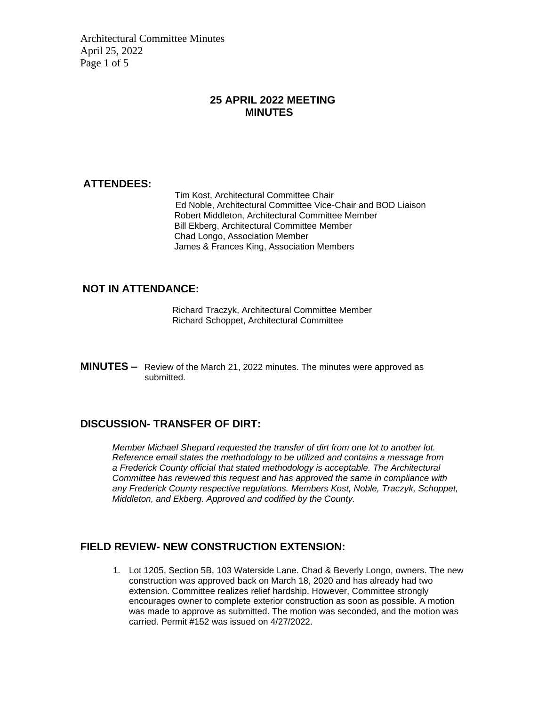Architectural Committee Minutes April 25, 2022 Page 1 of 5

### **25 APRIL 2022 MEETING MINUTES**

#### **ATTENDEES:**

Tim Kost, Architectural Committee Chair Ed Noble, Architectural Committee Vice-Chair and BOD Liaison Robert Middleton, Architectural Committee Member Bill Ekberg, Architectural Committee Member Chad Longo, Association Member James & Frances King, Association Members

#### **NOT IN ATTENDANCE:**

Richard Traczyk, Architectural Committee Member Richard Schoppet, Architectural Committee

**MINUTES –** Review of the March 21, 2022 minutes. The minutes were approved as submitted.

## **DISCUSSION- TRANSFER OF DIRT:**

 *Member Michael Shepard requested the transfer of dirt from one lot to another lot. Reference email states the methodology to be utilized and contains a message from a Frederick County official that stated methodology is acceptable. The Architectural Committee has reviewed this request and has approved the same in compliance with any Frederick County respective regulations. Members Kost, Noble, Traczyk, Schoppet, Middleton, and Ekberg. Approved and codified by the County.*

#### **FIELD REVIEW- NEW CONSTRUCTION EXTENSION:**

1. Lot 1205, Section 5B, 103 Waterside Lane. Chad & Beverly Longo, owners. The new construction was approved back on March 18, 2020 and has already had two extension. Committee realizes relief hardship. However, Committee strongly encourages owner to complete exterior construction as soon as possible. A motion was made to approve as submitted. The motion was seconded, and the motion was carried. Permit #152 was issued on 4/27/2022.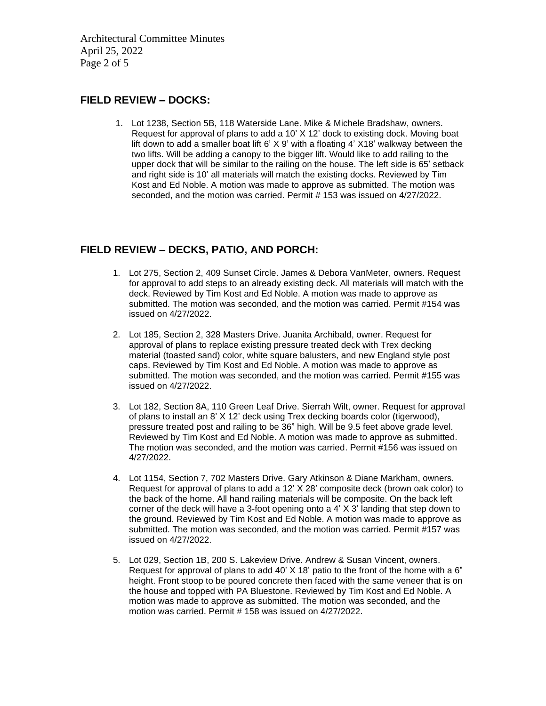Architectural Committee Minutes April 25, 2022 Page 2 of 5

## **FIELD REVIEW – DOCKS:**

1. Lot 1238, Section 5B, 118 Waterside Lane. Mike & Michele Bradshaw, owners. Request for approval of plans to add a 10' X 12' dock to existing dock. Moving boat lift down to add a smaller boat lift 6' X 9' with a floating 4' X18' walkway between the two lifts. Will be adding a canopy to the bigger lift. Would like to add railing to the upper dock that will be similar to the railing on the house. The left side is 65' setback and right side is 10' all materials will match the existing docks. Reviewed by Tim Kost and Ed Noble. A motion was made to approve as submitted. The motion was seconded, and the motion was carried. Permit # 153 was issued on 4/27/2022.

## **FIELD REVIEW – DECKS, PATIO, AND PORCH:**

- 1. Lot 275, Section 2, 409 Sunset Circle. James & Debora VanMeter, owners. Request for approval to add steps to an already existing deck. All materials will match with the deck. Reviewed by Tim Kost and Ed Noble. A motion was made to approve as submitted. The motion was seconded, and the motion was carried. Permit #154 was issued on 4/27/2022.
- 2. Lot 185, Section 2, 328 Masters Drive. Juanita Archibald, owner. Request for approval of plans to replace existing pressure treated deck with Trex decking material (toasted sand) color, white square balusters, and new England style post caps. Reviewed by Tim Kost and Ed Noble. A motion was made to approve as submitted. The motion was seconded, and the motion was carried. Permit #155 was issued on 4/27/2022.
- 3. Lot 182, Section 8A, 110 Green Leaf Drive. Sierrah Wilt, owner. Request for approval of plans to install an 8' X 12' deck using Trex decking boards color (tigerwood), pressure treated post and railing to be 36" high. Will be 9.5 feet above grade level. Reviewed by Tim Kost and Ed Noble. A motion was made to approve as submitted. The motion was seconded, and the motion was carried. Permit #156 was issued on 4/27/2022.
- 4. Lot 1154, Section 7, 702 Masters Drive. Gary Atkinson & Diane Markham, owners. Request for approval of plans to add a 12' X 28' composite deck (brown oak color) to the back of the home. All hand railing materials will be composite. On the back left corner of the deck will have a 3-foot opening onto a 4' X 3' landing that step down to the ground. Reviewed by Tim Kost and Ed Noble. A motion was made to approve as submitted. The motion was seconded, and the motion was carried. Permit #157 was issued on 4/27/2022.
- 5. Lot 029, Section 1B, 200 S. Lakeview Drive. Andrew & Susan Vincent, owners. Request for approval of plans to add 40' X 18' patio to the front of the home with a 6" height. Front stoop to be poured concrete then faced with the same veneer that is on the house and topped with PA Bluestone. Reviewed by Tim Kost and Ed Noble. A motion was made to approve as submitted. The motion was seconded, and the motion was carried. Permit # 158 was issued on 4/27/2022.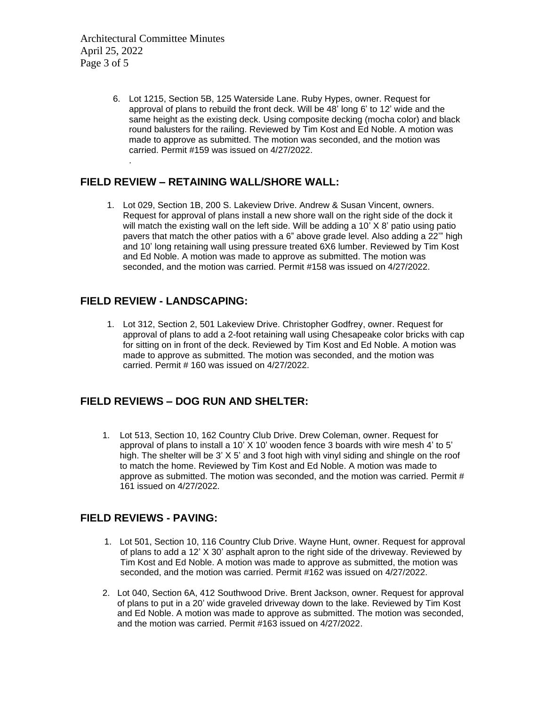Architectural Committee Minutes April 25, 2022 Page 3 of 5

.

6. Lot 1215, Section 5B, 125 Waterside Lane. Ruby Hypes, owner. Request for approval of plans to rebuild the front deck. Will be 48' long 6' to 12' wide and the same height as the existing deck. Using composite decking (mocha color) and black round balusters for the railing. Reviewed by Tim Kost and Ed Noble. A motion was made to approve as submitted. The motion was seconded, and the motion was carried. Permit #159 was issued on 4/27/2022.

#### **FIELD REVIEW – RETAINING WALL/SHORE WALL:**

1. Lot 029, Section 1B, 200 S. Lakeview Drive. Andrew & Susan Vincent, owners. Request for approval of plans install a new shore wall on the right side of the dock it will match the existing wall on the left side. Will be adding a 10' X 8' patio using patio pavers that match the other patios with a 6" above grade level. Also adding a 22'" high and 10' long retaining wall using pressure treated 6X6 lumber. Reviewed by Tim Kost and Ed Noble. A motion was made to approve as submitted. The motion was seconded, and the motion was carried. Permit #158 was issued on 4/27/2022.

#### **FIELD REVIEW - LANDSCAPING:**

1. Lot 312, Section 2, 501 Lakeview Drive. Christopher Godfrey, owner. Request for approval of plans to add a 2-foot retaining wall using Chesapeake color bricks with cap for sitting on in front of the deck. Reviewed by Tim Kost and Ed Noble. A motion was made to approve as submitted. The motion was seconded, and the motion was carried. Permit # 160 was issued on 4/27/2022.

#### **FIELD REVIEWS – DOG RUN AND SHELTER:**

 1. Lot 513, Section 10, 162 Country Club Drive. Drew Coleman, owner. Request for approval of plans to install a 10'  $X$  10' wooden fence 3 boards with wire mesh 4' to 5' high. The shelter will be 3' X 5' and 3 foot high with vinyl siding and shingle on the roof to match the home. Reviewed by Tim Kost and Ed Noble. A motion was made to approve as submitted. The motion was seconded, and the motion was carried. Permit # 161 issued on 4/27/2022.

#### **FIELD REVIEWS - PAVING:**

- 1. Lot 501, Section 10, 116 Country Club Drive. Wayne Hunt, owner. Request for approval of plans to add a 12' X 30' asphalt apron to the right side of the driveway. Reviewed by Tim Kost and Ed Noble. A motion was made to approve as submitted, the motion was seconded, and the motion was carried. Permit #162 was issued on 4/27/2022.
- 2. Lot 040, Section 6A, 412 Southwood Drive. Brent Jackson, owner. Request for approval of plans to put in a 20' wide graveled driveway down to the lake. Reviewed by Tim Kost and Ed Noble. A motion was made to approve as submitted. The motion was seconded, and the motion was carried. Permit #163 issued on 4/27/2022.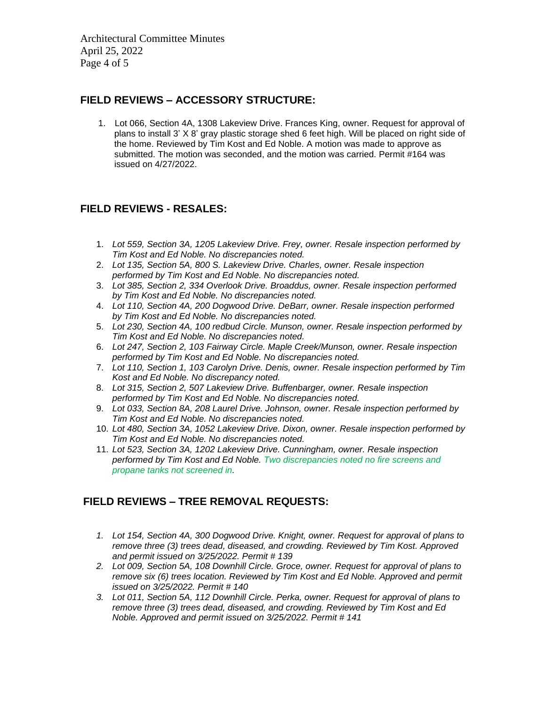Architectural Committee Minutes April 25, 2022 Page 4 of 5

## **FIELD REVIEWS – ACCESSORY STRUCTURE:**

1. Lot 066, Section 4A, 1308 Lakeview Drive. Frances King, owner. Request for approval of plans to install 3' X 8' gray plastic storage shed 6 feet high. Will be placed on right side of the home. Reviewed by Tim Kost and Ed Noble. A motion was made to approve as submitted. The motion was seconded, and the motion was carried. Permit #164 was issued on 4/27/2022.

## **FIELD REVIEWS - RESALES:**

- 1. *Lot 559, Section 3A, 1205 Lakeview Drive. Frey, owner. Resale inspection performed by Tim Kost and Ed Noble. No discrepancies noted.*
- 2. *Lot 135, Section 5A, 800 S. Lakeview Drive. Charles, owner. Resale inspection performed by Tim Kost and Ed Noble. No discrepancies noted.*
- 3. *Lot 385, Section 2, 334 Overlook Drive. Broaddus, owner. Resale inspection performed by Tim Kost and Ed Noble. No discrepancies noted.*
- 4. *Lot 110, Section 4A, 200 Dogwood Drive. DeBarr, owner. Resale inspection performed by Tim Kost and Ed Noble. No discrepancies noted.*
- 5. *Lot 230, Section 4A, 100 redbud Circle. Munson, owner. Resale inspection performed by Tim Kost and Ed Noble. No discrepancies noted.*
- 6. *Lot 247, Section 2, 103 Fairway Circle. Maple Creek/Munson, owner. Resale inspection performed by Tim Kost and Ed Noble. No discrepancies noted.*
- 7. *Lot 110, Section 1, 103 Carolyn Drive. Denis, owner. Resale inspection performed by Tim Kost and Ed Noble. No discrepancy noted.*
- 8. *Lot 315, Section 2, 507 Lakeview Drive. Buffenbarger, owner. Resale inspection performed by Tim Kost and Ed Noble. No discrepancies noted.*
- 9. *Lot 033, Section 8A, 208 Laurel Drive. Johnson, owner. Resale inspection performed by Tim Kost and Ed Noble. No discrepancies noted.*
- 10. *Lot 480, Section 3A, 1052 Lakeview Drive. Dixon, owner. Resale inspection performed by Tim Kost and Ed Noble. No discrepancies noted.*
- 11. *Lot 523, Section 3A, 1202 Lakeview Drive. Cunningham, owner. Resale inspection performed by Tim Kost and Ed Noble. Two discrepancies noted no fire screens and propane tanks not screened in.*

# **FIELD REVIEWS – TREE REMOVAL REQUESTS:**

- *1. Lot 154, Section 4A, 300 Dogwood Drive. Knight, owner. Request for approval of plans to remove three (3) trees dead, diseased, and crowding. Reviewed by Tim Kost. Approved and permit issued on 3/25/2022. Permit # 139*
- *2. Lot 009, Section 5A, 108 Downhill Circle. Groce, owner. Request for approval of plans to remove six (6) trees location. Reviewed by Tim Kost and Ed Noble. Approved and permit issued on 3/25/2022. Permit # 140*
- *3. Lot 011, Section 5A, 112 Downhill Circle. Perka, owner. Request for approval of plans to remove three (3) trees dead, diseased, and crowding. Reviewed by Tim Kost and Ed Noble. Approved and permit issued on 3/25/2022. Permit # 141*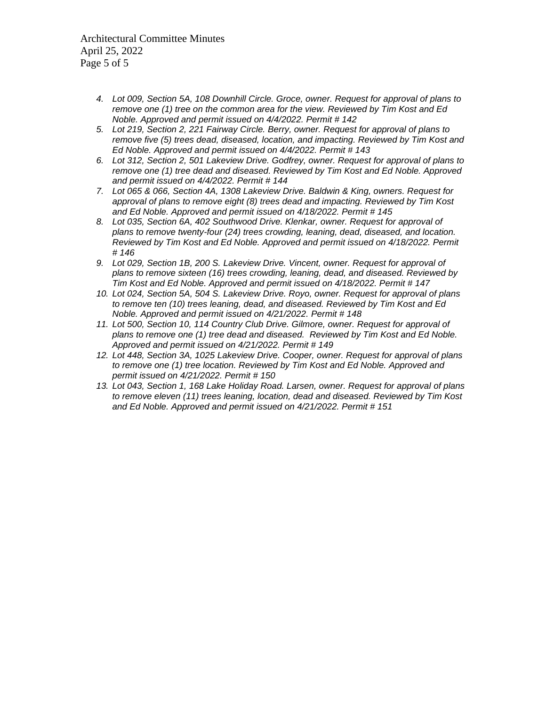Architectural Committee Minutes April 25, 2022 Page 5 of 5

- *4. Lot 009, Section 5A, 108 Downhill Circle. Groce, owner. Request for approval of plans to remove one (1) tree on the common area for the view. Reviewed by Tim Kost and Ed Noble. Approved and permit issued on 4/4/2022. Permit # 142*
- *5. Lot 219, Section 2, 221 Fairway Circle. Berry, owner. Request for approval of plans to remove five (5) trees dead, diseased, location, and impacting. Reviewed by Tim Kost and Ed Noble. Approved and permit issued on 4/4/2022. Permit # 143*
- *6. Lot 312, Section 2, 501 Lakeview Drive. Godfrey, owner. Request for approval of plans to remove one (1) tree dead and diseased. Reviewed by Tim Kost and Ed Noble. Approved and permit issued on 4/4/2022. Permit # 144*
- *7. Lot 065 & 066, Section 4A, 1308 Lakeview Drive. Baldwin & King, owners. Request for approval of plans to remove eight (8) trees dead and impacting. Reviewed by Tim Kost and Ed Noble. Approved and permit issued on 4/18/2022. Permit # 145*
- *8. Lot 035, Section 6A, 402 Southwood Drive. Klenkar, owner. Request for approval of plans to remove twenty-four (24) trees crowding, leaning, dead, diseased, and location. Reviewed by Tim Kost and Ed Noble. Approved and permit issued on 4/18/2022. Permit # 146*
- *9. Lot 029, Section 1B, 200 S. Lakeview Drive. Vincent, owner. Request for approval of plans to remove sixteen (16) trees crowding, leaning, dead, and diseased. Reviewed by Tim Kost and Ed Noble. Approved and permit issued on 4/18/2022. Permit # 147*
- *10. Lot 024, Section 5A, 504 S. Lakeview Drive. Royo, owner. Request for approval of plans to remove ten (10) trees leaning, dead, and diseased. Reviewed by Tim Kost and Ed Noble. Approved and permit issued on 4/21/2022. Permit # 148*
- 11. Lot 500, Section 10, 114 Country Club Drive. Gilmore, owner. Request for approval of *plans to remove one (1) tree dead and diseased. Reviewed by Tim Kost and Ed Noble. Approved and permit issued on 4/21/2022. Permit # 149*
- *12. Lot 448, Section 3A, 1025 Lakeview Drive. Cooper, owner. Request for approval of plans to remove one (1) tree location. Reviewed by Tim Kost and Ed Noble. Approved and permit issued on 4/21/2022. Permit # 150*
- *13. Lot 043, Section 1, 168 Lake Holiday Road. Larsen, owner. Request for approval of plans to remove eleven (11) trees leaning, location, dead and diseased. Reviewed by Tim Kost and Ed Noble. Approved and permit issued on 4/21/2022. Permit # 151*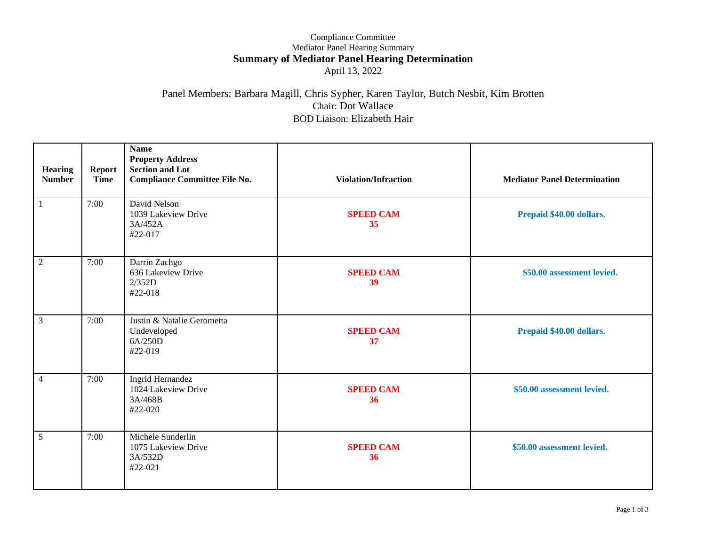#### Compliance Committee Mediator Panel Hearing Summary **Summary of Mediator Panel Hearing Determination** April 13, 2022

## Panel Members: Barbara Magill, Chris Sypher, Karen Taylor, Butch Nesbit, Kim Brotten Chair: Dot Wallace BOD Liaison: Elizabeth Hair

| Hearing<br><b>Number</b> | <b>Report</b><br><b>Time</b> | <b>Name</b><br><b>Property Address</b><br><b>Section and Lot</b><br><b>Compliance Committee File No.</b> | <b>Violation/Infraction</b> | <b>Mediator Panel Determination</b> |
|--------------------------|------------------------------|----------------------------------------------------------------------------------------------------------|-----------------------------|-------------------------------------|
| 1                        | 7:00                         | David Nelson<br>1039 Lakeview Drive<br>3A/452A<br>#22-017                                                | <b>SPEED CAM</b><br>35      | Prepaid \$40.00 dollars.            |
| $\overline{2}$           | 7:00                         | Darrin Zachgo<br>636 Lakeview Drive<br>2/352D<br>#22-018                                                 | <b>SPEED CAM</b><br>39      | \$50.00 assessment levied.          |
| 3                        | 7:00                         | Justin & Natalie Gerometta<br>Undeveloped<br>6A/250D<br>#22-019                                          | <b>SPEED CAM</b><br>37      | Prepaid \$40.00 dollars.            |
| $\overline{4}$           | 7:00                         | Ingrid Hernandez<br>1024 Lakeview Drive<br>3A/468B<br>#22-020                                            | <b>SPEED CAM</b><br>36      | \$50.00 assessment levied.          |
| 5                        | 7:00                         | Michele Sunderlin<br>1075 Lakeview Drive<br>3A/532D<br>#22-021                                           | <b>SPEED CAM</b><br>36      | \$50.00 assessment levied.          |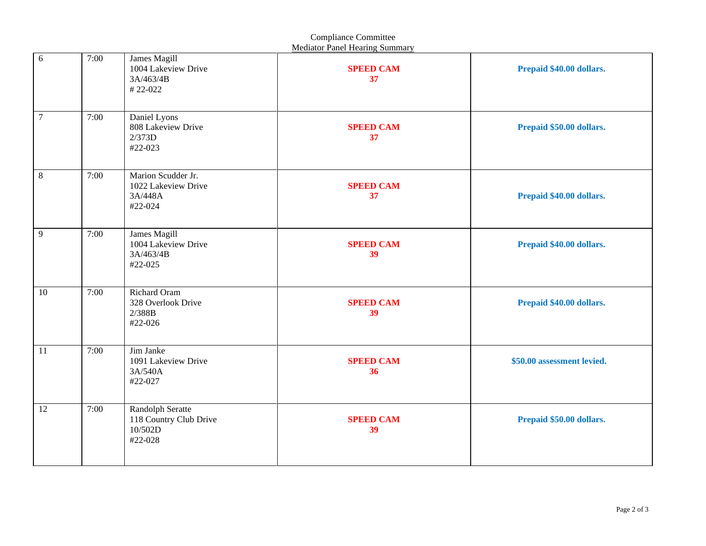|         | <b>Mediator Panel Hearing Summary</b> |                                                                  |                        |                            |  |  |  |
|---------|---------------------------------------|------------------------------------------------------------------|------------------------|----------------------------|--|--|--|
| 6       | 7:00                                  | James Magill<br>1004 Lakeview Drive<br>3A/463/4B<br>#22-022      | <b>SPEED CAM</b><br>37 | Prepaid \$40.00 dollars.   |  |  |  |
| $\tau$  | 7:00                                  | Daniel Lyons<br>808 Lakeview Drive<br>2/373D<br>#22-023          | <b>SPEED CAM</b><br>37 | Prepaid \$50.00 dollars.   |  |  |  |
| $\,8\,$ | 7:00                                  | Marion Scudder Jr.<br>1022 Lakeview Drive<br>3A/448A<br>#22-024  | <b>SPEED CAM</b><br>37 | Prepaid \$40.00 dollars.   |  |  |  |
| 9       | 7:00                                  | James Magill<br>1004 Lakeview Drive<br>3A/463/4B<br>#22-025      | <b>SPEED CAM</b><br>39 | Prepaid \$40.00 dollars.   |  |  |  |
| 10      | 7:00                                  | Richard Oram<br>328 Overlook Drive<br>$2/388B$<br>#22-026        | <b>SPEED CAM</b><br>39 | Prepaid \$40.00 dollars.   |  |  |  |
| 11      | 7:00                                  | Jim Janke<br>1091 Lakeview Drive<br>3A/540A<br>#22-027           | <b>SPEED CAM</b><br>36 | \$50.00 assessment levied. |  |  |  |
| 12      | 7:00                                  | Randolph Seratte<br>118 Country Club Drive<br>10/502D<br>#22-028 | <b>SPEED CAM</b><br>39 | Prepaid \$50.00 dollars.   |  |  |  |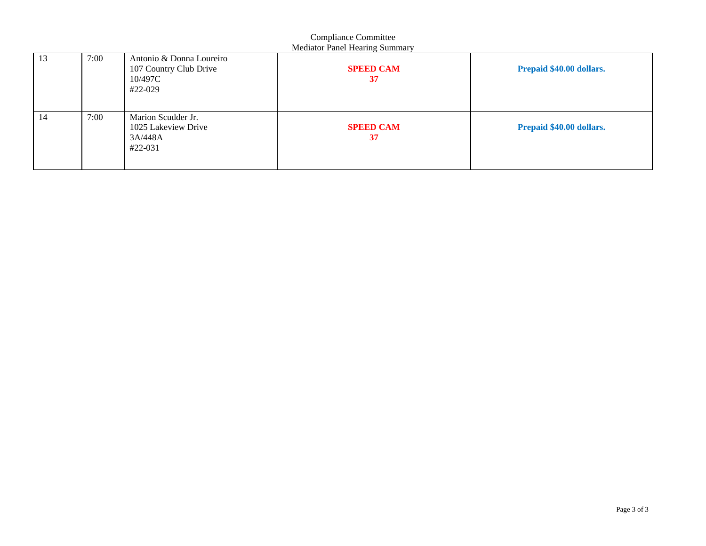| Compliance Committee<br><b>Mediator Panel Hearing Summary</b> |      |                                                                          |                        |                          |  |  |  |  |
|---------------------------------------------------------------|------|--------------------------------------------------------------------------|------------------------|--------------------------|--|--|--|--|
| 13                                                            | 7:00 | Antonio & Donna Loureiro<br>107 Country Club Drive<br>10/497C<br>#22-029 | <b>SPEED CAM</b><br>37 | Prepaid \$40.00 dollars. |  |  |  |  |
| 14                                                            | 7:00 | Marion Scudder Jr.<br>1025 Lakeview Drive<br>3A/448A<br>#22-031          | <b>SPEED CAM</b><br>37 | Prepaid \$40.00 dollars. |  |  |  |  |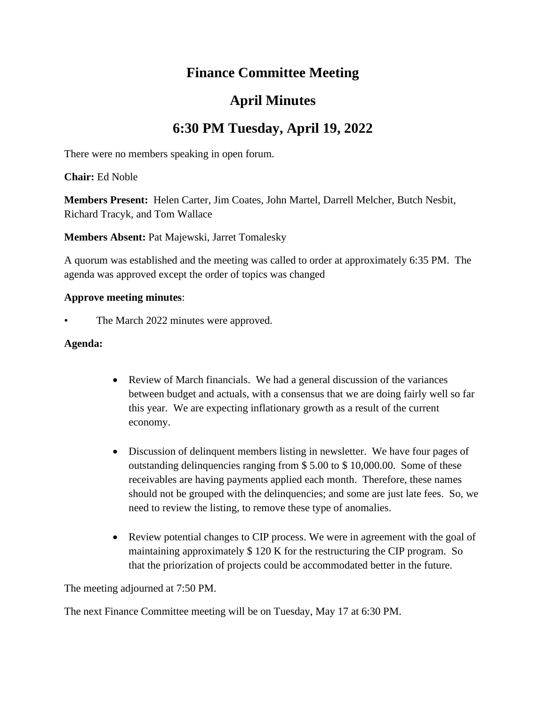# **Finance Committee Meeting**

# **April Minutes**

# **6:30 PM Tuesday, April 19, 2022**

There were no members speaking in open forum.

**Chair:** Ed Noble

**Members Present:** Helen Carter, Jim Coates, John Martel, Darrell Melcher, Butch Nesbit, Richard Tracyk, and Tom Wallace

**Members Absent:** Pat Majewski, Jarret Tomalesky

A quorum was established and the meeting was called to order at approximately 6:35 PM. The agenda was approved except the order of topics was changed

## **Approve meeting minutes**:

The March 2022 minutes were approved.

## **Agenda:**

- Review of March financials. We had a general discussion of the variances between budget and actuals, with a consensus that we are doing fairly well so far this year. We are expecting inflationary growth as a result of the current economy.
- Discussion of delinquent members listing in newsletter. We have four pages of outstanding delinquencies ranging from \$ 5.00 to \$ 10,000.00. Some of these receivables are having payments applied each month. Therefore, these names should not be grouped with the delinquencies; and some are just late fees. So, we need to review the listing, to remove these type of anomalies.
- Review potential changes to CIP process. We were in agreement with the goal of maintaining approximately \$ 120 K for the restructuring the CIP program. So that the priorization of projects could be accommodated better in the future.

The meeting adjourned at 7:50 PM.

The next Finance Committee meeting will be on Tuesday, May 17 at 6:30 PM.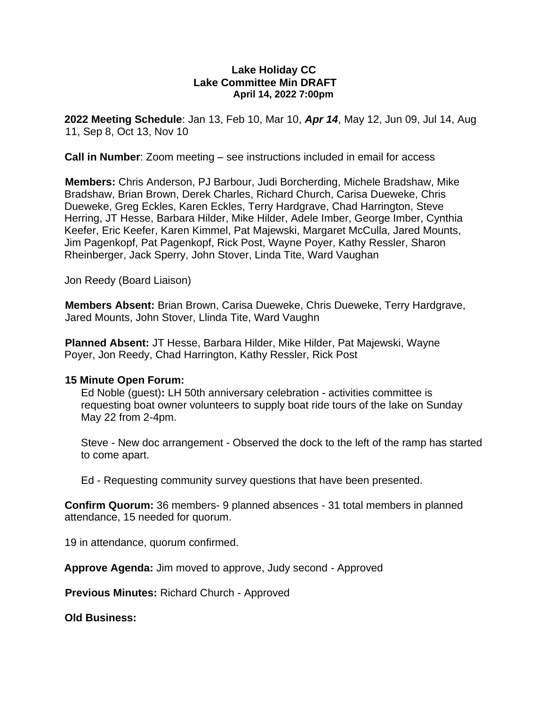#### **Lake Holiday CC Lake Committee Min DRAFT April 14, 2022 7:00pm**

**2022 Meeting Schedule**: Jan 13, Feb 10, Mar 10, *Apr 14*, May 12, Jun 09, Jul 14, Aug 11, Sep 8, Oct 13, Nov 10

**Call in Number**: Zoom meeting – see instructions included in email for access

**Members:** Chris Anderson, PJ Barbour, Judi Borcherding, Michele Bradshaw, Mike Bradshaw, Brian Brown, Derek Charles, Richard Church, Carisa Dueweke, Chris Dueweke, Greg Eckles, Karen Eckles, Terry Hardgrave, Chad Harrington, Steve Herring, JT Hesse, Barbara Hilder, Mike Hilder, Adele Imber, George Imber, Cynthia Keefer, Eric Keefer, Karen Kimmel, Pat Majewski, Margaret McCulla, Jared Mounts, Jim Pagenkopf, Pat Pagenkopf, Rick Post, Wayne Poyer, Kathy Ressler, Sharon Rheinberger, Jack Sperry, John Stover, Linda Tite, Ward Vaughan

Jon Reedy (Board Liaison)

**Members Absent:** Brian Brown, Carisa Dueweke, Chris Dueweke, Terry Hardgrave, Jared Mounts, John Stover, Llinda Tite, Ward Vaughn

**Planned Absent:** JT Hesse, Barbara Hilder, Mike Hilder, Pat Majewski, Wayne Poyer, Jon Reedy, Chad Harrington, Kathy Ressler, Rick Post

## **15 Minute Open Forum:**

Ed Noble (guest)**:** LH 50th anniversary celebration - activities committee is requesting boat owner volunteers to supply boat ride tours of the lake on Sunday May 22 from 2-4pm.

Steve - New doc arrangement - Observed the dock to the left of the ramp has started to come apart.

Ed - Requesting community survey questions that have been presented.

**Confirm Quorum:** 36 members- 9 planned absences - 31 total members in planned attendance, 15 needed for quorum.

19 in attendance, quorum confirmed.

**Approve Agenda:** Jim moved to approve, Judy second - Approved

**Previous Minutes:** Richard Church - Approved

**Old Business:**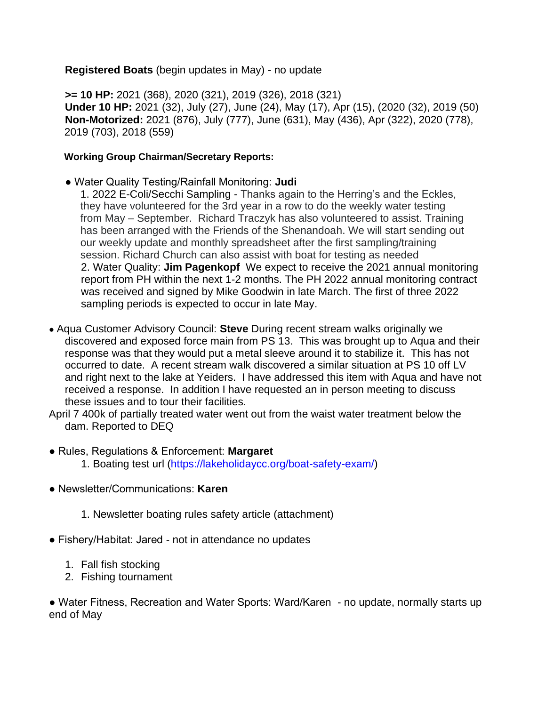## **Registered Boats** (begin updates in May) - no update

**>= 10 HP:** 2021 (368), 2020 (321), 2019 (326), 2018 (321) **Under 10 HP:** 2021 (32), July (27), June (24), May (17), Apr (15), (2020 (32), 2019 (50) **Non-Motorized:** 2021 (876), July (777), June (631), May (436), Apr (322), 2020 (778), 2019 (703), 2018 (559)

## **Working Group Chairman/Secretary Reports:**

- Water Quality Testing/Rainfall Monitoring: **Judi**
	- 1. 2022 E-Coli/Secchi Sampling Thanks again to the Herring's and the Eckles, they have volunteered for the 3rd year in a row to do the weekly water testing from May – September. Richard Traczyk has also volunteered to assist. Training has been arranged with the Friends of the Shenandoah. We will start sending out our weekly update and monthly spreadsheet after the first sampling/training session. Richard Church can also assist with boat for testing as needed 2. Water Quality: **Jim Pagenkopf** We expect to receive the 2021 annual monitoring report from PH within the next 1-2 months. The PH 2022 annual monitoring contract was received and signed by Mike Goodwin in late March. The first of three 2022 sampling periods is expected to occur in late May.
- Aqua Customer Advisory Council: **Steve** During recent stream walks originally we discovered and exposed force main from PS 13. This was brought up to Aqua and their response was that they would put a metal sleeve around it to stabilize it. This has not occurred to date. A recent stream walk discovered a similar situation at PS 10 off LV and right next to the lake at Yeiders. I have addressed this item with Aqua and have not received a response. In addition I have requested an in person meeting to discuss these issues and to tour their facilities.
- April 7 400k of partially treated water went out from the waist water treatment below the dam. Reported to DEQ
- Rules, Regulations & Enforcement: **Margaret** 
	- 1. Boating test url (https://lakeholidaycc.org/boat-safety-exam/)
- Newsletter/Communications: **Karen** 
	- 1. Newsletter boating rules safety article (attachment)
- Fishery/Habitat: Jared not in attendance no updates
	- 1. Fall fish stocking
	- 2. Fishing tournament

● Water Fitness, Recreation and Water Sports: Ward/Karen - no update, normally starts up end of May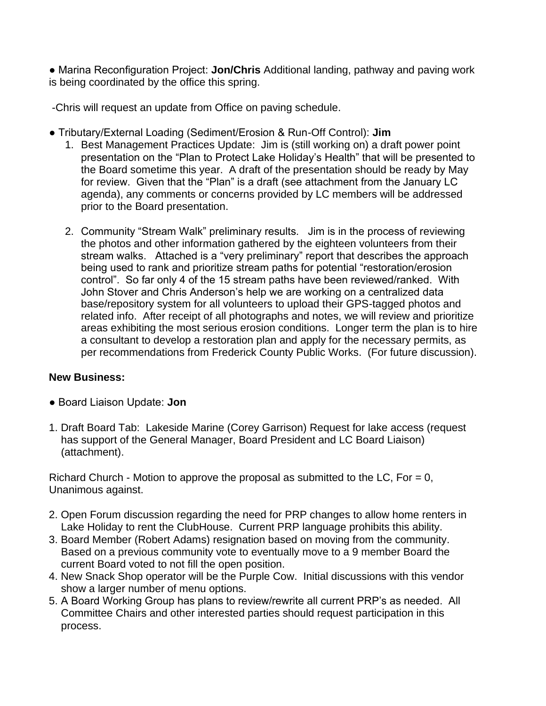● Marina Reconfiguration Project: **Jon/Chris** Additional landing, pathway and paving work is being coordinated by the office this spring.

-Chris will request an update from Office on paving schedule.

- Tributary/External Loading (Sediment/Erosion & Run-Off Control): **Jim** 
	- 1. Best Management Practices Update: Jim is (still working on) a draft power point presentation on the "Plan to Protect Lake Holiday's Health" that will be presented to the Board sometime this year. A draft of the presentation should be ready by May for review. Given that the "Plan" is a draft (see attachment from the January LC agenda), any comments or concerns provided by LC members will be addressed prior to the Board presentation.
	- 2. Community "Stream Walk" preliminary results. Jim is in the process of reviewing the photos and other information gathered by the eighteen volunteers from their stream walks. Attached is a "very preliminary" report that describes the approach being used to rank and prioritize stream paths for potential "restoration/erosion control". So far only 4 of the 15 stream paths have been reviewed/ranked. With John Stover and Chris Anderson's help we are working on a centralized data base/repository system for all volunteers to upload their GPS-tagged photos and related info. After receipt of all photographs and notes, we will review and prioritize areas exhibiting the most serious erosion conditions. Longer term the plan is to hire a consultant to develop a restoration plan and apply for the necessary permits, as per recommendations from Frederick County Public Works. (For future discussion).

# **New Business:**

- Board Liaison Update: **Jon**
- 1. Draft Board Tab: Lakeside Marine (Corey Garrison) Request for lake access (request has support of the General Manager, Board President and LC Board Liaison) (attachment).

Richard Church - Motion to approve the proposal as submitted to the LC, For  $= 0$ , Unanimous against.

- 2. Open Forum discussion regarding the need for PRP changes to allow home renters in Lake Holiday to rent the ClubHouse. Current PRP language prohibits this ability.
- 3. Board Member (Robert Adams) resignation based on moving from the community. Based on a previous community vote to eventually move to a 9 member Board the current Board voted to not fill the open position.
- 4. New Snack Shop operator will be the Purple Cow. Initial discussions with this vendor show a larger number of menu options.
- 5. A Board Working Group has plans to review/rewrite all current PRP's as needed. All Committee Chairs and other interested parties should request participation in this process.